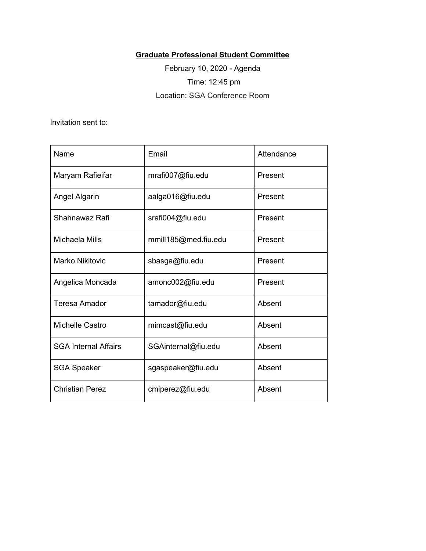## **Graduate Professional Student Committee**

February 10, 2020 - Agenda Time: 12:45 pm Location: SGA Conference Room

Invitation sent to:

| Name                        | Email                | Attendance |  |
|-----------------------------|----------------------|------------|--|
| Maryam Rafieifar            | mrafi007@fiu.edu     | Present    |  |
| Angel Algarin               | aalga016@fiu.edu     | Present    |  |
| Shahnawaz Rafi              | srafi004@fiu.edu     | Present    |  |
| Michaela Mills              | mmill185@med.fiu.edu | Present    |  |
| Marko Nikitovic             | sbasga@fiu.edu       | Present    |  |
| Angelica Moncada            | amonc002@fiu.edu     | Present    |  |
| <b>Teresa Amador</b>        | tamador@fiu.edu      | Absent     |  |
| Michelle Castro             | mimcast@fiu.edu      | Absent     |  |
| <b>SGA Internal Affairs</b> | SGAinternal@fiu.edu  | Absent     |  |
| <b>SGA Speaker</b>          | sgaspeaker@fiu.edu   | Absent     |  |
| <b>Christian Perez</b>      | cmiperez@fiu.edu     | Absent     |  |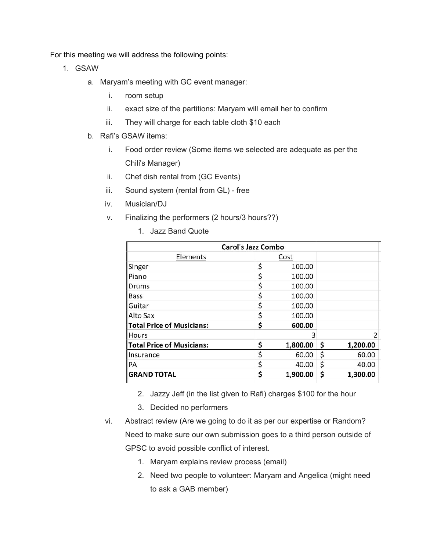For this meeting we will address the following points:

- 1. GSAW
	- a. Maryam's meeting with GC event manager:
		- i. room setup
		- ii. exact size of the partitions: Maryam will email her to confirm
		- iii. They will charge for each table cloth \$10 each
	- b. Rafi's GSAW items:
		- i. Food order review (Some items we selected are adequate as per the Chili's Manager)
		- ii. Chef dish rental from (GC Events)
		- iii. Sound system (rental from GL) free
		- iv. Musician/DJ
		- v. Finalizing the performers (2 hours/3 hours??)
			- 1. Jazz Band Quote

|                                  | <b>Carol's Jazz Combo</b> |          |    |          |
|----------------------------------|---------------------------|----------|----|----------|
| Elements                         | Cost                      |          |    |          |
| Singer                           | \$                        | 100.00   |    |          |
| Piano                            | \$                        | 100.00   |    |          |
| Drums                            | \$                        | 100.00   |    |          |
| Bass                             | \$                        | 100.00   |    |          |
| <b>Guitar</b>                    | \$                        | 100.00   |    |          |
| IAlto Sax                        | \$                        | 100.00   |    |          |
| <b>Total Price of Musicians:</b> | \$                        | 600.00   |    |          |
| <b>Hours</b>                     |                           | 3        |    | 2        |
| <b>Total Price of Musicians:</b> | \$                        | 1,800.00 | Ş  | 1,200.00 |
| <b>Insurance</b>                 | \$                        | 60.00    | \$ | 60.00    |
| PA                               | \$                        | 40.00    | \$ | 40.00    |
| <b>GRAND TOTAL</b>               | \$                        | 1,900.00 | \$ | 1,300.00 |

- 2. Jazzy Jeff (in the list given to Rafi) charges \$100 for the hour
- 3. Decided no performers
- vi. Abstract review (Are we going to do it as per our expertise or Random? Need to make sure our own submission goes to a third person outside of GPSC to avoid possible conflict of interest.
	- 1. Maryam explains review process (email)
	- 2. Need two people to volunteer: Maryam and Angelica (might need to ask a GAB member)